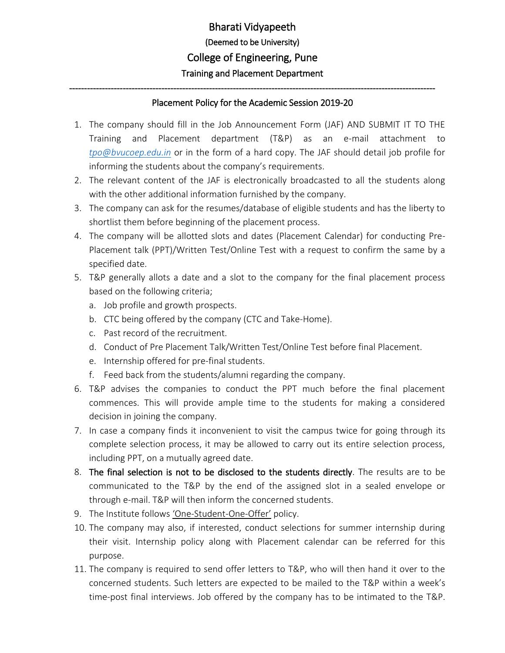## --------------------------------------------------------------------------------------------------------------------------- Placement Policy for the Academic Session 2019-20

- 1. The company should fill in the Job Announcement Form (JAF) AND SUBMIT IT TO THE Training and Placement department (T&P) as an e-mail attachment to *[tpo@bvucoep.edu.in](mailto:tpo@bvucoep.edu.in)* or in the form of a hard copy. The JAF should detail job profile for informing the students about the company's requirements.
- 2. The relevant content of the JAF is electronically broadcasted to all the students along with the other additional information furnished by the company.
- 3. The company can ask for the resumes/database of eligible students and has the liberty to shortlist them before beginning of the placement process.
- 4. The company will be allotted slots and dates (Placement Calendar) for conducting Pre-Placement talk (PPT)/Written Test/Online Test with a request to confirm the same by a specified date.
- 5. T&P generally allots a date and a slot to the company for the final placement process based on the following criteria;
	- a. Job profile and growth prospects.
	- b. CTC being offered by the company (CTC and Take-Home).
	- c. Past record of the recruitment.
	- d. Conduct of Pre Placement Talk/Written Test/Online Test before final Placement.
	- e. Internship offered for pre-final students.
	- f. Feed back from the students/alumni regarding the company.
- 6. T&P advises the companies to conduct the PPT much before the final placement commences. This will provide ample time to the students for making a considered decision in joining the company.
- 7. In case a company finds it inconvenient to visit the campus twice for going through its complete selection process, it may be allowed to carry out its entire selection process, including PPT, on a mutually agreed date.
- 8. The final selection is not to be disclosed to the students directly. The results are to be communicated to the T&P by the end of the assigned slot in a sealed envelope or through e-mail. T&P will then inform the concerned students.
- 9. The Institute follows 'One-Student-One-Offer' policy.
- 10. The company may also, if interested, conduct selections for summer internship during their visit. Internship policy along with Placement calendar can be referred for this purpose.
- 11. The company is required to send offer letters to T&P, who will then hand it over to the concerned students. Such letters are expected to be mailed to the T&P within a week's time-post final interviews. Job offered by the company has to be intimated to the T&P.